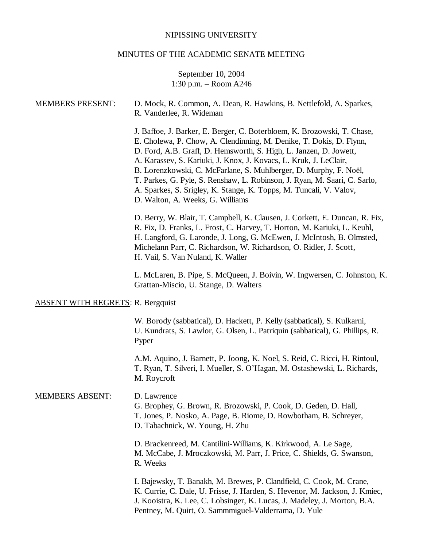#### NIPISSING UNIVERSITY

## MINUTES OF THE ACADEMIC SENATE MEETING

# September 10, 2004 1:30 p.m. – Room A246

# MEMBERS PRESENT: D. Mock, R. Common, A. Dean, R. Hawkins, B. Nettlefold, A. Sparkes, R. Vanderlee, R. Wideman J. Baffoe, J. Barker, E. Berger, C. Boterbloem, K. Brozowski, T. Chase, E. Cholewa, P. Chow, A. Clendinning, M. Denike, T. Dokis, D. Flynn, D. Ford, A.B. Graff, D. Hemsworth, S. High, L. Janzen, D. Jowett, A. Karassev, S. Kariuki, J. Knox, J. Kovacs, L. Kruk, J. LeClair, B. Lorenzkowski, C. McFarlane, S. Muhlberger, D. Murphy, F. Noël, T. Parkes, G. Pyle, S. Renshaw, L. Robinson, J. Ryan, M. Saari, C. Sarlo, A. Sparkes, S. Srigley, K. Stange, K. Topps, M. Tuncali, V. Valov, D. Walton, A. Weeks, G. Williams D. Berry, W. Blair, T. Campbell, K. Clausen, J. Corkett, E. Duncan, R. Fix,

R. Fix, D. Franks, L. Frost, C. Harvey, T. Horton, M. Kariuki, L. Keuhl, H. Langford, G. Laronde, J. Long, G. McEwen, J. McIntosh, B. Olmsted, Michelann Parr, C. Richardson, W. Richardson, O. Ridler, J. Scott, H. Vail, S. Van Nuland, K. Waller

L. McLaren, B. Pipe, S. McQueen, J. Boivin, W. Ingwersen, C. Johnston, K. Grattan-Miscio, U. Stange, D. Walters

# ABSENT WITH REGRETS: R. Bergquist

W. Borody (sabbatical), D. Hackett, P. Kelly (sabbatical), S. Kulkarni, U. Kundrats, S. Lawlor, G. Olsen, L. Patriquin (sabbatical), G. Phillips, R. Pyper

A.M. Aquino, J. Barnett, P. Joong, K. Noel, S. Reid, C. Ricci, H. Rintoul, T. Ryan, T. Silveri, I. Mueller, S. O'Hagan, M. Ostashewski, L. Richards, M. Roycroft

#### MEMBERS ABSENT: D. Lawrence

G. Brophey, G. Brown, R. Brozowski, P. Cook, D. Geden, D. Hall, T. Jones, P. Nosko, A. Page, B. Riome, D. Rowbotham, B. Schreyer, D. Tabachnick, W. Young, H. Zhu

D. Brackenreed, M. Cantilini-Williams, K. Kirkwood, A. Le Sage, M. McCabe, J. Mroczkowski, M. Parr, J. Price, C. Shields, G. Swanson, R. Weeks

I. Bajewsky, T. Banakh, M. Brewes, P. Clandfield, C. Cook, M. Crane, K. Currie, C. Dale, U. Frisse, J. Harden, S. Hevenor, M. Jackson, J. Kmiec, J. Kooistra, K. Lee, C. Lobsinger, K. Lucas, J. Madeley, J. Morton, B.A. Pentney, M. Quirt, O. Sammmiguel-Valderrama, D. Yule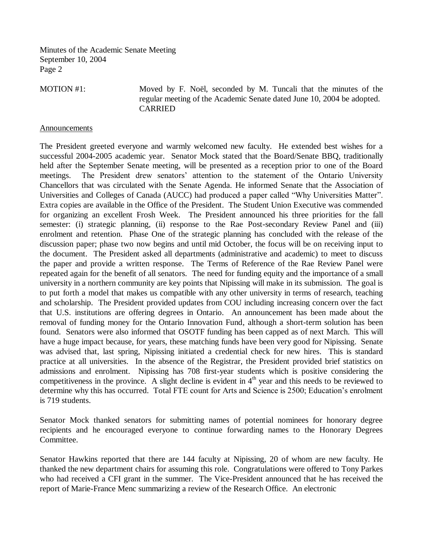MOTION #1: Moved by F. Noël, seconded by M. Tuncali that the minutes of the regular meeting of the Academic Senate dated June 10, 2004 be adopted. CARRIED

#### **Announcements**

The President greeted everyone and warmly welcomed new faculty. He extended best wishes for a successful 2004-2005 academic year. Senator Mock stated that the Board/Senate BBQ, traditionally held after the September Senate meeting, will be presented as a reception prior to one of the Board meetings. The President drew senators' attention to the statement of the Ontario University Chancellors that was circulated with the Senate Agenda. He informed Senate that the Association of Universities and Colleges of Canada (AUCC) had produced a paper called "Why Universities Matter". Extra copies are available in the Office of the President. The Student Union Executive was commended for organizing an excellent Frosh Week. The President announced his three priorities for the fall semester: (i) strategic planning, (ii) response to the Rae Post-secondary Review Panel and (iii) enrolment and retention. Phase One of the strategic planning has concluded with the release of the discussion paper; phase two now begins and until mid October, the focus will be on receiving input to the document. The President asked all departments (administrative and academic) to meet to discuss the paper and provide a written response. The Terms of Reference of the Rae Review Panel were repeated again for the benefit of all senators. The need for funding equity and the importance of a small university in a northern community are key points that Nipissing will make in its submission. The goal is to put forth a model that makes us compatible with any other university in terms of research, teaching and scholarship. The President provided updates from COU including increasing concern over the fact that U.S. institutions are offering degrees in Ontario. An announcement has been made about the removal of funding money for the Ontario Innovation Fund, although a short-term solution has been found. Senators were also informed that OSOTF funding has been capped as of next March. This will have a huge impact because, for years, these matching funds have been very good for Nipissing. Senate was advised that, last spring, Nipissing initiated a credential check for new hires. This is standard practice at all universities. In the absence of the Registrar, the President provided brief statistics on admissions and enrolment. Nipissing has 708 first-year students which is positive considering the competitiveness in the province. A slight decline is evident in  $4<sup>th</sup>$  year and this needs to be reviewed to determine why this has occurred. Total FTE count for Arts and Science is 2500; Education's enrolment is 719 students.

Senator Mock thanked senators for submitting names of potential nominees for honorary degree recipients and he encouraged everyone to continue forwarding names to the Honorary Degrees Committee.

Senator Hawkins reported that there are 144 faculty at Nipissing, 20 of whom are new faculty. He thanked the new department chairs for assuming this role. Congratulations were offered to Tony Parkes who had received a CFI grant in the summer. The Vice-President announced that he has received the report of Marie-France Menc summarizing a review of the Research Office. An electronic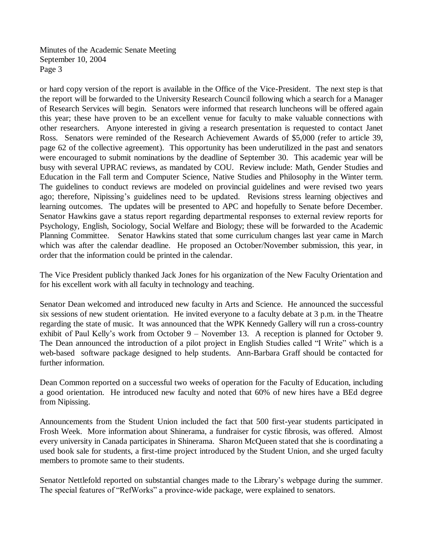or hard copy version of the report is available in the Office of the Vice-President. The next step is that the report will be forwarded to the University Research Council following which a search for a Manager of Research Services will begin. Senators were informed that research luncheons will be offered again this year; these have proven to be an excellent venue for faculty to make valuable connections with other researchers. Anyone interested in giving a research presentation is requested to contact Janet Ross. Senators were reminded of the Research Achievement Awards of \$5,000 (refer to article 39, page 62 of the collective agreement). This opportunity has been underutilized in the past and senators were encouraged to submit nominations by the deadline of September 30. This academic year will be busy with several UPRAC reviews, as mandated by COU. Review include: Math, Gender Studies and Education in the Fall term and Computer Science, Native Studies and Philosophy in the Winter term. The guidelines to conduct reviews are modeled on provincial guidelines and were revised two years ago; therefore, Nipissing's guidelines need to be updated. Revisions stress learning objectives and learning outcomes. The updates will be presented to APC and hopefully to Senate before December. Senator Hawkins gave a status report regarding departmental responses to external review reports for Psychology, English, Sociology, Social Welfare and Biology; these will be forwarded to the Academic Planning Committee. Senator Hawkins stated that some curriculum changes last year came in March which was after the calendar deadline. He proposed an October/November submission, this year, in order that the information could be printed in the calendar.

The Vice President publicly thanked Jack Jones for his organization of the New Faculty Orientation and for his excellent work with all faculty in technology and teaching.

Senator Dean welcomed and introduced new faculty in Arts and Science. He announced the successful six sessions of new student orientation. He invited everyone to a faculty debate at 3 p.m. in the Theatre regarding the state of music. It was announced that the WPK Kennedy Gallery will run a cross-country exhibit of Paul Kelly's work from October 9 – November 13. A reception is planned for October 9. The Dean announced the introduction of a pilot project in English Studies called "I Write" which is a web-based software package designed to help students. Ann-Barbara Graff should be contacted for further information.

Dean Common reported on a successful two weeks of operation for the Faculty of Education, including a good orientation. He introduced new faculty and noted that 60% of new hires have a BEd degree from Nipissing.

Announcements from the Student Union included the fact that 500 first-year students participated in Frosh Week. More information about Shinerama, a fundraiser for cystic fibrosis, was offered. Almost every university in Canada participates in Shinerama. Sharon McQueen stated that she is coordinating a used book sale for students, a first-time project introduced by the Student Union, and she urged faculty members to promote same to their students.

Senator Nettlefold reported on substantial changes made to the Library's webpage during the summer. The special features of "RefWorks" a province-wide package, were explained to senators.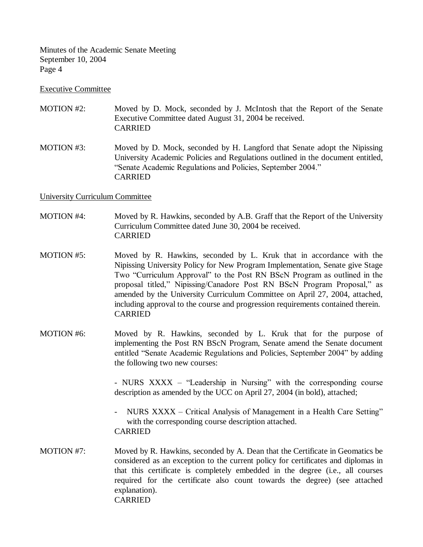### Executive Committee

- MOTION #2: Moved by D. Mock, seconded by J. McIntosh that the Report of the Senate Executive Committee dated August 31, 2004 be received. CARRIED
- MOTION #3: Moved by D. Mock, seconded by H. Langford that Senate adopt the Nipissing University Academic Policies and Regulations outlined in the document entitled, "Senate Academic Regulations and Policies, September 2004." CARRIED

# University Curriculum Committee

- MOTION #4: Moved by R. Hawkins, seconded by A.B. Graff that the Report of the University Curriculum Committee dated June 30, 2004 be received. CARRIED
- MOTION #5: Moved by R. Hawkins, seconded by L. Kruk that in accordance with the Nipissing University Policy for New Program Implementation, Senate give Stage Two "Curriculum Approval" to the Post RN BScN Program as outlined in the proposal titled," Nipissing/Canadore Post RN BScN Program Proposal," as amended by the University Curriculum Committee on April 27, 2004, attached, including approval to the course and progression requirements contained therein. CARRIED
- MOTION #6: Moved by R. Hawkins, seconded by L. Kruk that for the purpose of implementing the Post RN BScN Program, Senate amend the Senate document entitled "Senate Academic Regulations and Policies, September 2004" by adding the following two new courses:

- NURS XXXX – "Leadership in Nursing" with the corresponding course description as amended by the UCC on April 27, 2004 (in bold), attached;

- NURS XXXX Critical Analysis of Management in a Health Care Setting" with the corresponding course description attached. CARRIED
- MOTION #7: Moved by R. Hawkins, seconded by A. Dean that the Certificate in Geomatics be considered as an exception to the current policy for certificates and diplomas in that this certificate is completely embedded in the degree (i.e., all courses required for the certificate also count towards the degree) (see attached explanation). CARRIED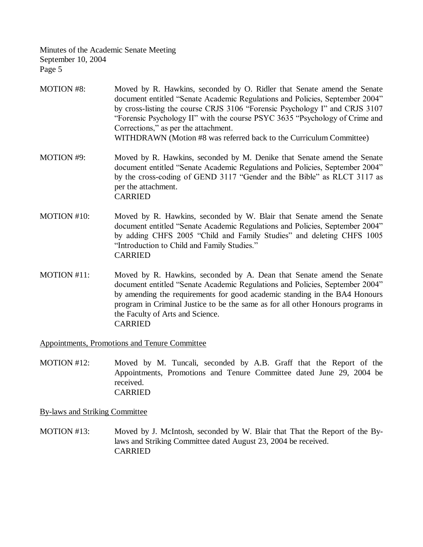- MOTION #8: Moved by R. Hawkins, seconded by O. Ridler that Senate amend the Senate document entitled "Senate Academic Regulations and Policies, September 2004" by cross-listing the course CRJS 3106 "Forensic Psychology I" and CRJS 3107 "Forensic Psychology II" with the course PSYC 3635 "Psychology of Crime and Corrections," as per the attachment. WITHDRAWN (Motion #8 was referred back to the Curriculum Committee)
- MOTION #9: Moved by R. Hawkins, seconded by M. Denike that Senate amend the Senate document entitled "Senate Academic Regulations and Policies, September 2004" by the cross-coding of GEND 3117 "Gender and the Bible" as RLCT 3117 as per the attachment. CARRIED
- MOTION #10: Moved by R. Hawkins, seconded by W. Blair that Senate amend the Senate document entitled "Senate Academic Regulations and Policies, September 2004" by adding CHFS 2005 "Child and Family Studies" and deleting CHFS 1005 "Introduction to Child and Family Studies." CARRIED
- MOTION #11: Moved by R. Hawkins, seconded by A. Dean that Senate amend the Senate document entitled "Senate Academic Regulations and Policies, September 2004" by amending the requirements for good academic standing in the BA4 Honours program in Criminal Justice to be the same as for all other Honours programs in the Faculty of Arts and Science. CARRIED

Appointments, Promotions and Tenure Committee

MOTION #12: Moved by M. Tuncali, seconded by A.B. Graff that the Report of the Appointments, Promotions and Tenure Committee dated June 29, 2004 be received. CARRIED

By-laws and Striking Committee

MOTION #13: Moved by J. McIntosh, seconded by W. Blair that That the Report of the Bylaws and Striking Committee dated August 23, 2004 be received. CARRIED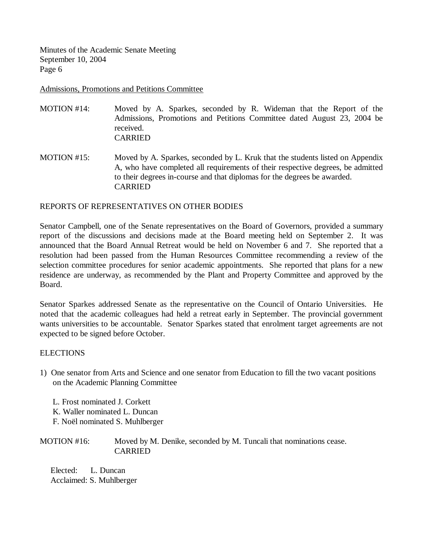Admissions, Promotions and Petitions Committee

- MOTION #14: Moved by A. Sparkes, seconded by R. Wideman that the Report of the Admissions, Promotions and Petitions Committee dated August 23, 2004 be received. CARRIED
- MOTION #15: Moved by A. Sparkes, seconded by L. Kruk that the students listed on Appendix A, who have completed all requirements of their respective degrees, be admitted to their degrees in-course and that diplomas for the degrees be awarded. CARRIED

# REPORTS OF REPRESENTATIVES ON OTHER BODIES

Senator Campbell, one of the Senate representatives on the Board of Governors, provided a summary report of the discussions and decisions made at the Board meeting held on September 2. It was announced that the Board Annual Retreat would be held on November 6 and 7. She reported that a resolution had been passed from the Human Resources Committee recommending a review of the selection committee procedures for senior academic appointments. She reported that plans for a new residence are underway, as recommended by the Plant and Property Committee and approved by the Board.

Senator Sparkes addressed Senate as the representative on the Council of Ontario Universities. He noted that the academic colleagues had held a retreat early in September. The provincial government wants universities to be accountable. Senator Sparkes stated that enrolment target agreements are not expected to be signed before October.

# **ELECTIONS**

1) One senator from Arts and Science and one senator from Education to fill the two vacant positions on the Academic Planning Committee

 L. Frost nominated J. Corkett K. Waller nominated L. Duncan F. Noël nominated S. Muhlberger

MOTION #16: Moved by M. Denike, seconded by M. Tuncali that nominations cease. CARRIED

 Elected: L. Duncan Acclaimed: S. Muhlberger